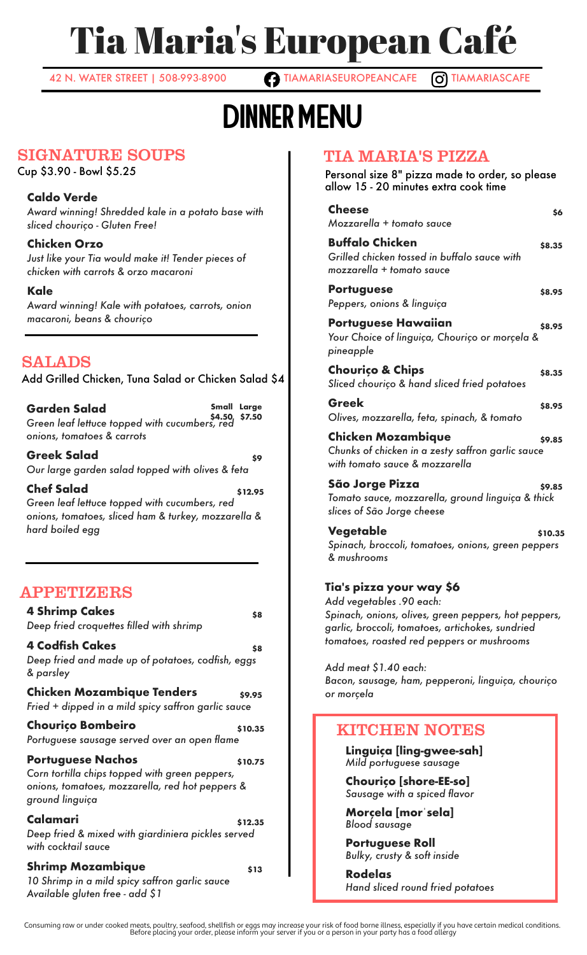# Tia Maria's European Café

42 N. WATER STREET | 508-993-8900 **TIAMARIASEUROPEANCAFE O TIAMARIASCAFE** 

# Dinner MENU

### SIGNATURE SOUPS

Cup \$3.90 - Bowl \$5.25

#### **Caldo Verde**

*Award winning! Shredded kale in a potato base with sliced chouriço - Gluten Free!*

**Chicken Orzo** *Just like your Tia would make it! Tender pieces of chicken with carrots & orzo macaroni*

#### **Kale**

*Award winning! Kale with potatoes, carrots, onion macaroni, beans & chouriço*

# SALADS

Add Grilled Chicken, Tuna Salad or Chicken Salad \$4

**Garden Salad Small \$4.50 \$7.50** *Green leaf lettuce topped with cucumbers, red* **Small Large** *onions, tomatoes & carrots*

**Greek Salad \$9** *Our large garden salad topped with olives & feta*

**Chef Salad \$12.95** *Green leaf lettuce topped with cucumbers, red onions, tomatoes, sliced ham & turkey, mozzarella & hard boiled egg*

## APPETIZERS

**4 Shrimp Cakes by S8** *Deep fried croquettes filled with shrimp* **4 Codfish Cakes 88** *Deep fried and made up of potatoes, codfish, eggs & parsley* **Chicken Mozambique Tenders \$9.95** *Fried + dipped in a mild spicy saffron garlic sauce* **Chouriço Bombeiro by the substitution**  $\boldsymbol{\mathsf{s}}$ 10.35 *Portuguese sausage served over an open flame* **Portuguese Nachos by \$10.75** *Corn tortilla chips topped with green peppers, onions, tomatoes, mozzarella, red hot peppers & ground linguiça* **Calamari \$12.35** *Deep fried & mixed with giardiniera pickles served with cocktail sauce* **Shrimp Mozambique \$13** *10 Shrimp in a mild spicy saffron garlic sauce Available gluten free - add \$1*

# TIA MARIA'S PIZZA

Personal size 8" pizza made to order, so please allow 15 - 20 minutes extra cook time

| <b>Cheese</b><br>\$6<br>Mozzarella + tomato sauce                                                                                                                                                              |
|----------------------------------------------------------------------------------------------------------------------------------------------------------------------------------------------------------------|
| <b>Buffalo Chicken</b><br>\$8.35<br>Grilled chicken tossed in buffalo sauce with<br>mozzarella + tomato sauce                                                                                                  |
| <b>Portuguese</b><br>\$8.95<br>Peppers, onions & linguiça                                                                                                                                                      |
| Portuguese Hawaiian<br>\$8.95<br>Your Choice of linguiça, Chouriço or morçela &<br>pineapple                                                                                                                   |
| <b>Chourico &amp; Chips</b><br>\$8.35<br>Sliced chourico & hand sliced fried potatoes                                                                                                                          |
| Greek<br>\$8.95<br>Olives, mozzarella, feta, spinach, & tomato                                                                                                                                                 |
| <b>Chicken Mozambique</b><br>\$9.85<br>Chunks of chicken in a zesty saffron garlic sauce<br>with tomato sauce & mozzarella                                                                                     |
| São Jorge Pizza<br>\$9.85<br>Tomato sauce, mozzarella, ground linguiça & thick<br>slices of São Jorge cheese                                                                                                   |
| Vegetable<br>\$10.35<br>Spinach, broccoli, tomatoes, onions, green peppers<br>& mushrooms                                                                                                                      |
| Tia's pizza your way \$6<br>Add vegetables .90 each:<br>Spinach, onions, olives, green peppers, hot peppers,<br>garlic, broccoli, tomatoes, artichokes, sundried<br>tomatoes, roasted red peppers or mushrooms |
| Add meat \$1.40 each:<br>Bacon, sausage, ham, pepperoni, linguiça, chouriço<br>or morcela                                                                                                                      |

## KITCHEN NOTES

**Linguiça [ling-gwee-sah]** *Mild portuguese sausage*

**Chouriço [shore-EE-so]** *Sausage with a spiced flavor*

**Morçela [morˈsela]** *Blood sausage*

**Portuguese Roll** *Bulky, crusty & soft inside*

**Rodelas** *Hand sliced round fried potatoes*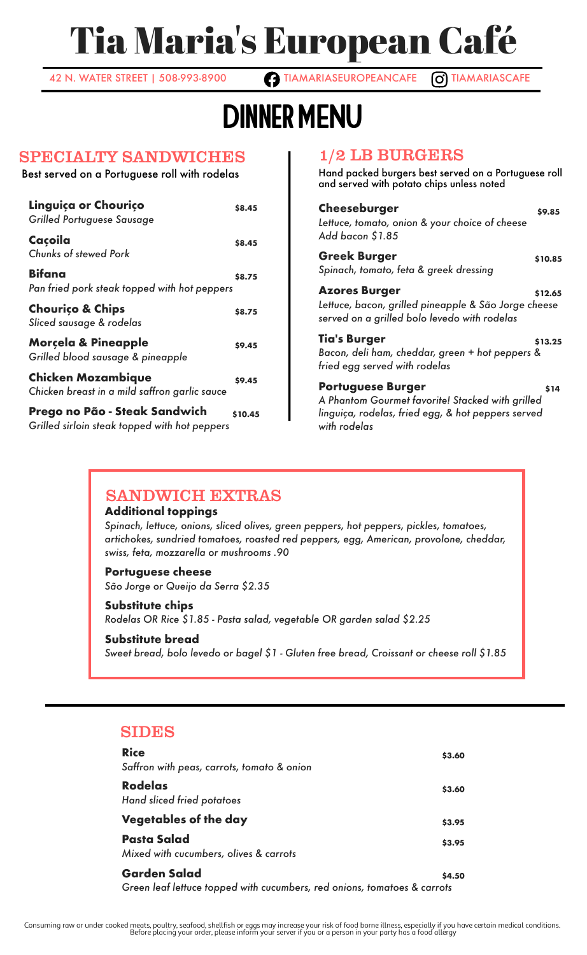# Tia Maria's European Café

42 N. WATER STREET | 508-993-8900 **TIAMARIASEUROPEANCAFE** O TIAMARIASCAFE

# Dinner MENU

#### SPECIALTY SANDWICHES

Best served on a Portuguese roll with rodelas

| Linguiça or Chouriço<br>Grilled Portuguese Sausage                             | \$8.45  |
|--------------------------------------------------------------------------------|---------|
| Caçoila<br>Chunks of stewed Pork                                               | \$8.45  |
| <b>Bifana</b><br>Pan fried pork steak topped with hot peppers                  | \$8.75  |
| <b>Chourico &amp; Chips</b><br>Sliced sausage & rodelas                        | \$8.75  |
| <b>Morcela &amp; Pineapple</b><br>Grilled blood sausage & pineapple            | \$9.45  |
| <b>Chicken Mozambique</b><br>Chicken breast in a mild saffron garlic sauce     | \$9.45  |
| Prego no Pão - Steak Sandwich<br>Grilled sirloin steak topped with hot peppers | \$10.45 |

#### 1/2 LB BURGERS

Hand packed burgers best served on a Portuguese roll and served with potato chips unless noted

| Cheeseburger<br>Lettuce, tomato, onion & your choice of cheese<br>Add bacon \$1.85                                                                 | \$9.85  |
|----------------------------------------------------------------------------------------------------------------------------------------------------|---------|
| <b>Greek Burger</b><br>Spinach, tomato, feta & greek dressing                                                                                      | \$10.85 |
| <b>Azores Burger</b><br>Lettuce, bacon, grilled pineapple & São Jorge cheese<br>served on a grilled bolo levedo with rodelas                       | \$12.65 |
| <b>Tia's Burger</b><br>Bacon, deli ham, cheddar, green + hot peppers &<br>fried egg served with rodelas                                            | \$13.25 |
| <b>Portuguese Burger</b><br>A Phantom Gourmet favorite! Stacked with grilled<br>linguiça, rodelas, fried egg, & hot peppers served<br>with rodelas | \$14    |

## SANDWICH EXTRAS

#### **Additional toppings**

*Spinach, lettuce, onions, sliced olives, green peppers, hot peppers, pickles, tomatoes, artichokes, sundried tomatoes, roasted red peppers, egg, American, provolone, cheddar, swiss, feta, mozzarella or mushrooms .90*

#### **Portuguese cheese**

*São Jorge or Queijo da Serra \$2.35*

#### **Substitute chips**

*Rodelas OR Rice \$1.85 - Pasta salad, vegetable OR garden salad \$2.25*

#### **Substitute bread**

*Sweet bread, bolo levedo or bagel \$1 - Gluten free bread, Croissant or cheese roll \$1.85*

#### SIDES

| <b>Rice</b><br>Saffron with peas, carrots, tomato & onion                                       | \$3.60 |
|-------------------------------------------------------------------------------------------------|--------|
| <b>Rodelas</b><br>Hand sliced fried potatoes                                                    | \$3.60 |
| <b>Vegetables of the day</b>                                                                    | \$3.95 |
| <b>Pasta Salad</b><br>Mixed with cucumbers, olives & carrots                                    | \$3.95 |
| <b>Garden Salad</b><br>Green leaf lettuce topped with cucumbers, red onions, tomatoes & carrots | \$4.50 |

.Consuming raw or under cooked meats, poultry, seafood, shellfish or eggs may increase your risk of food borne illness, especially if you have certain medical conditions.<br>Before placing your order, please inform your serve